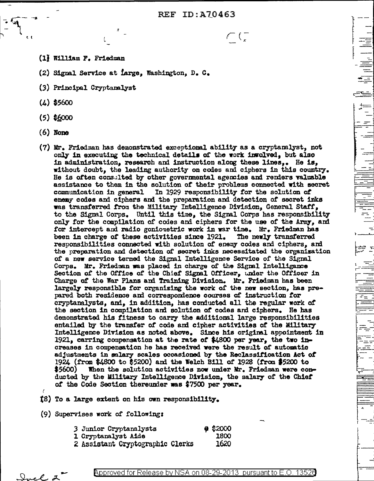$\digamma$  (  $\bar{\zeta}$ 

ET E

(1) William F. Friedman

 $\mathfrak{c}$ 

- (2) Signal Service at Large, Washington, D. C.
- (3) Principal Cryptanalyst
- $(L)$  \$5600
- $(5)$  \$6000
- $(6)$  None
- (7) Mr. Friedman has demonstrated exceptional ability as a cryptanalyst, not only in executing the technical details of the work involved, but also in administration, research and instruction along these lines,. He is, without doubt, the leading authority on codes and ciphers in this country. He is often consulted by other governmental agencies and renders valuable assistance to them in the solution of their problems connected with secret communication in general In 1929 responsibility for the solution of enemy codes and ciphers and the preparation and detection of secret inks was transferred from the Military Intelligence Division, General Staff, to the Signal Corps. Until this time, the Signal Corps has responsibility only for the compilation of codes and ciphers for the use of the Army, and for intercept and radio gonioustric work in war time. Mr. Friedman has been in charge of these activities since 1921. The newly transferred responsibilities connected with solution of enemy codes and ciphers, and the preparation and detection of secret inks necessitated the organization of a new service termed the Signal Intelligence Service of the Signal Corps. Mr. Friedman was placed in charge of the Signal Intelligance Section of the Office of the Chief Signal Officer, under the Officer in Charge of the War Plans and Training Division. Mr. Friedman has been largely responsible for organizing the work of the new section, has prepared both residence and correspondence courses of instruction for cryptanalysts, and, in addition, has conducted all the regular work of the section in compilation and solution of codes and ciphers. He has demonstrated his fitness to carry the additional large responsibilities entailed by the transfer of code and cipher activities of the Military Intelligence Division as noted above. Since his original appointment in 1921, carring compensation at the rate of \$4800 per year, the two increases in compensation he has received were the result of automatic adjustments in salary scales occasioned by the Reclassification Act of 1924 (from \$4800 to \$5200) and the Welch Bill of 1928 (from \$5200 to \$5600) When the solution activities now under Mr. Friedman were conducted by the Military Intelligence Division, the salary of the Chief of the Code Section thereunder was \$7500 per year.
- 
- 18) To a large extent on his own responsibility.
- (9) Supervises work of following:
	- **@ \$2000** 3 Junior Cryptanalysts 1 Cryptanalyst Aide 1800
	- 2 Assistant Cryptographic Clerks
- Ivel 2
- Approved for Release by NSA on 08-29-2013 pursuant to E.O. 13526

1620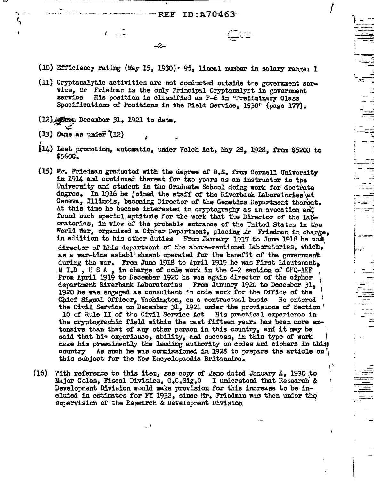<del>ین</del>ے ہے۔<br>— 1

-2–

(10) Efficiency rating (May 15, 1930) · 95, lineal number in salary range: 1

- (11) Cryptanalytic activities are not conducted outside tre government service, Mr Friedman is the only Principal Cryptanalyst in government service His position is classified as P-6 in "Preliminary Class Specifications of Positions in the Field Service, 1930" (page 177).
- (12) Agreem December 31, 1921 to date.

 $\sqrt{2}$ 

 $(13)$  Same as under  $(12)$ 

- [14] Last promotion, automatic, under Welch Act, May 28, 1928, from \$5200 to  $$5600.$
- (15) Mr. Friedman graduated with the degree of B.S. from Cornell University in 1914 and continued thereat for two years as an instructor in the University and student in the Graduate School doing work for dootrate degree. In 1916 he joined the staff of the Riverbank Laboratories at Geneva, Illinois, becoming Director of the Genetics Department thereat. At this time he became interested in cryptography as an avocation and found such special aptitude for the work that the Director of the Laboratories, in view of the probable entrance of the United States in the World War, organized a Cipter Department, placing Ar Friedman in charge, in addition to his other duties From Jammry 1917 to June 1918 he was director of this department of the above-mentioned Laboratories, which, as a war-time establ'shment operated for the benefit of the government during the war. From June 1918 to April 1919 he was First Lieutenant, M I.D , U S A , in charge of code work in the G-2 section of GFQ-AEF From April 1919 to December 1920 he was again director of the cipher department Riverbank Laboratories From January 1920 to December 31. 1920 he was engaged as consultant in code work for the Office of the Chief Signal Officer, Washington, on a contractual basis **He entered** the Civil Sarvice on December 31, 1921 under the provisions of Section 10 of Rule II of the Civil Service Act His practical experience in the cryptographic field within the past fifteen years has been more extensive than that of any other person in this country, and it may be said that his experience, ability, and success, in this type of work make him preeminently the leading authority on codes and ciphers in this country As such he was commissioned in 1928 to prepare the article on  $\parallel$ this subject for the New Encyclopaedia Britannica.
- (16) Fith reference to this item, see copy of Memo dated January  $4$ , 1930 to Major Coles. Fiscal Division. 0.0.Sig.0 I understood that Research & Development Division would make provision for this increase to be included in estimates for FI 1932, since Mr. Friedman was then under the supervision of the Research & Development Division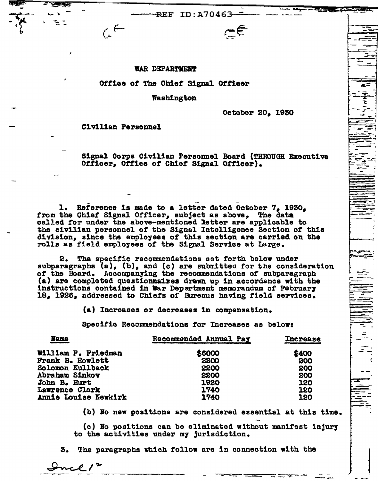**REF ID:A70463** 

## WAR DEPARTMENT

## Office of The Chief Signal Officer

Washington

October 20, 1930

⊂€

Civilian Personnel

ncl /

 $\epsilon$ 

Signal Corps Civilian Personnel Board (THROUGH Executive Officer, Office of Chief Signal Officer).

1. Reference is made to a letter dated October 7, 1930. from the Chief Signal Officer, subject as above, The data called for under the above-mentioned letter are applicable to the civilian personnel of the Signal Intelligence Section of this division, since the employees of this section are carried on the rolls as field employees of the Signal Service at Large.

The specific recommendations set forth below under 2. subparagraphs (a), (b), and (c) are submitted for the consideration of the Board. Accompanying the recommendations of subparagraph (a) are completed questionnaires drawn up in accordance with the instructions contained in War Department memorandum of February 18, 1926, addressed to Chiefs of Bureaus having field services.

(a) Increases or decreases in compensation.

Specific Recommendations for Increases as below:

| Recommended Annual Pay | <b>Increase</b> |
|------------------------|-----------------|
| \$6000                 | \$400           |
| 2200                   | 200             |
| 2200                   | 200             |
| 2200                   | 200             |
| 1920                   | 120             |
| 1740                   | 120             |
| 1740                   | 120             |
|                        |                 |

(b) No new positions are considered essential at this time.

(c) No positions can be eliminated without manifest injury to the activities under my jurisdiction.

3. The paragraphs which follow are in connection with the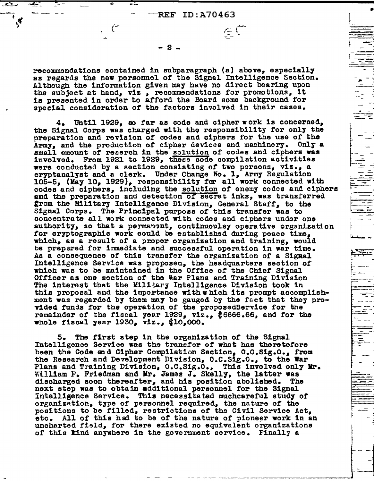REF ID:A70463

 $\frac{1}{\sqrt{2\pi}}$ 

<u>1-225.</u>

 $\frac{1}{2}$   $\frac{1}{2}$ 

 $\begin{array}{|c|c|c|c|c|}\n\hline\n& - & \n\end{array}$  $\frac{1}{2}$  --

- --.

.<br>مبر<br>3 -<br>-<del>-</del> .

- - - ~-. ,<del>.............</del><br>,.<del>................</del>...

**For the second second second** 

FFFF<br>L

~-=-

- 2 -

recommendations contained in subparagraph (a) above, especiall7 as regards the new personnel of the Signal Intelligence Section.<br>Although the information given may have no direct bearing upon the subject at hand, viz , recommendations for promotions, it 1a presented 1n order to afford the Board some background for special consideration or the factors involved in their cases.

*c--* ~-(-

4. Until 1929• ao far as code and cipher • ork is concerned, the Signal Corps was charged with the responsibility for only the preparation and revision *ot* codes and ciphers for the use of the Army, and the production of cipher devices and machinery. small amount of reserch in the solution of codes and ciphers was involved. From 1921 to 1929, these code compilation activities were conducted by a section consisting of two persons, viz., a cryptanalyst and a clerk. Under Change No. 1, Army Regulation 105-51 (May 10• 1929), responsibility far all work connected with codes and ciphers, including the solution of enemy codes and ciphers and the preparation and detection *of* secret inks, was transferred grom the Military Intelligence Division, General Staff, to the Signal Corps. The Principal purpose of this transfer was to concentrate all work connected with codes and ciphers under one authority, so that a permanent, continuoulsy operative organization for cryptographic work could be established during peace time, which, as a result of a proper organization and training, would be prepared for immediate and successful operation in war time. As a consequence of this transfer the organization of a Signal Intelligence Service was proposed, the headquarters section of which was to be maintained in the Office of the Chief Signal Officer as one section of the War Plans and Training Division The interest that the Military Intelligence Division took in this proposal and the importance with which its prompt accomplishment was regarded by them may be gauged by the fact that they provided funds for the operation of the proposedService for the remainder of the fiscal year 1929,  $\forall 1z_{12}$ , \$6666.66, and for the whole fiscal year  $1930<sub>s</sub>$  viz.,  $$10<sub>s</sub>000<sub>s</sub>$ 

5. Tbs first step in the organization or the Signal Intelligence Service was the transfer of what has theretofore been the Code and Cipher Compilation Section, O.C.Sig.O., from the Research and Development Division, O.C.Sig.O., to the War Plans and Training Division, O.C.Sig.O., This involved only Mr. William F. Friedman and Mr. James J. Skelly, the latter was discharged soon thereafter, and his position abolished. The next step was to obtain additional personnel for the Signal Intelligence Service. This necessitated muchcareful study of organization, type of personnel required, the nature of the positions to be filled, restrictions of the Civil Service Act, etc. All of this had to be of the nature of pioneer work in an uncharted field, for there existed no equivalent organizations of this kind anywhere in the government service. Finally a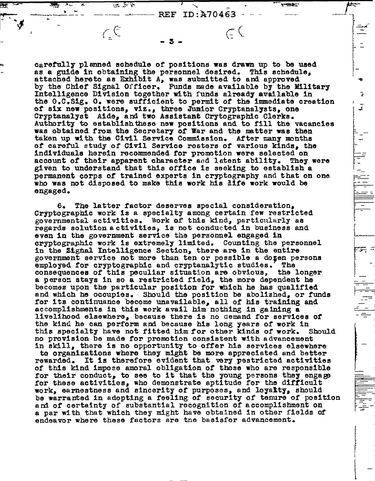$-$  REF ID:A70463

 $\in$ 

|<br>|<br>|-

.<br>ما **إسبان** 

 $\frac{1}{\sqrt{\frac{1}{n}}}$ 

**I** 

 $\begin{bmatrix} 1 & 1 \\ 1 & 1 \\ 1 & 1 \end{bmatrix}$ 

I <sup>~</sup>I -

, :\_ <sup>j</sup>

 $\epsilon \in$ 

- s -

carefully planned schedule of positions was drawn up to be used as a guide in obtaining the personnel desired. This schedule, attached hereto as Exhibit A, was submitted to and approved<br>by the Chief Signal Officer. Funds made available by the Military<br>Intelligence Division together with funds already available in the o.c.s1g. o. were autficient to permit or the immediate creation of six new positions, viz., three Junior Cryptanalysts, one Cryptanalyst Aide, and two Assistant Crytographic Clerks. Authority to establishthese new positions and to fill the vacancies was obtained from the Secretary of War and the matter was then taken up with the Civil Service Commission. After many months of careful study of Civil Service rosters of various kinds, the individuals herein recommended for promotion were selected on account of their apparent character and latent ability. They were given to understand that this office le seeking to establish a permanent corps of trained experts in cryptography and that on one who was not disposed to make this work his dife work would be engaged.

6. Tne 1atter factor deserves special consideration. Cryptographic work is a specialty among certain few restricted governmental activities. 'Work 0£ this kind, particularly as regards solution a et1v1t1es, is not conducted in buainesa and even in the government service the personnel engaged in cryptographic work is extremely limited. Counting the personnel in the Signal Intelligence Section, there are in the entire government service not more than ten or possible a dozen persons employed for cryptographic and cryptanalytic studies. The employed for cryptographic and cryptanalytic studies. consequences of this peculiar situation are obvious, the longer a person stays in so a restricted field, the more dependent he becomes upon the particular position for which he has qualified and which he occupies. Should the position be abolished, or funds for its continuance become unavailable, all of his training and accomplishments in this work avail him nothing in gaining a livelihood elsewhere, because there is no demand for services of the kind he can perform and because his long years of work in this specialty have not fitted him for other kinds of work. Should this specialty have not fitted him for other kinds of work. Should no provision be made for promotion consistent with advancement in skill, there is no opportunity to offer his services elsewhere to organ1zat1ons where they might be more appreciated and better rewarded. It is therefore evident that very pestricted activities *of* this kind impose amoral obligation of those who are responsible for their conduct, to see to it that the young persons they engage for these activities, who demonstrate aptitude for the difficult work, earnestness and sincerity of purposes, and loyalty, should be warranted in adopting a feeling of eecur1ty of tenure *ot* position am of certainty of substantial recognition of accomplishment on a par with that which they might have obtained in other fields *ot*  endeavor where these factors are tne bssisfor advancement.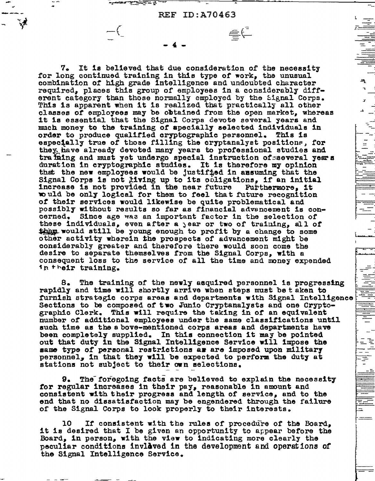**REF ID:A70463** 

 $\equiv$  $($  $^{\equiv}$ 

It is believed that due consideration of the necessity 7. for long continued training in this type of work, the unusual combination of high grade intelligence and undoubted character required, places this group of employees in a considerably different category than those normally employed by the Signal Corps. This is apparent when it is realized that practically all other classes of employees may be obtained from the open market, whereas it is essential that the Signal Corps devote several years and much money to the training of apecially selected individuals in order to produce qualified cryptographic personnel. This is especially true of those filling the cryptanalyst positions, for they have already devoted many years to professional studies and trafning and must yet undergo special instruction of several years duration in cryptographic studies. It is therefore my opinion that the new employees would be justified in ansuming that the Signal Corps is not living up to its obligations, if an initial increase is not provided in the near future **Furthermore. it** would be only logical for them to feel that future recognition of their services would likewise be quite problematical and possibly without results so far as financial advancement is concerned. Since age was an important factor in the selection of these individuals, even after a year or two of training, all of thing would still be young enough to profit by a change to some other activity wherein the prospects of advancement might be considerably greater and therefore there would soon come the desire to separate themselves from the Signal Corps, with a consequent loss to the service of all the time and money expended in their training.

8. The training of the newly asquired personnel is progressing rapidly and time will shortly arrive when steps must be taken to furnish strategic corps areas and departments with Signal Intelligence Sections to be composed of two Junio Cryptanalysts and one Cryptographic Clerk. This will require the taking in of an equivalent number of additional employees under the same classifications until such time as the a bove-mentioned corps areas and departments have been completely supplied. In this connection it may be pointed out that duty in the Signal Intelligence Service will impose the same type of personal restrictions ar are imposed upon military personnel, in that they will be expected to perform the duty at stations not subject to their own selections.

The foregoing facts are believed to explain the necessity 9. for regular increases in their pay, reasonable in amount and consistent with their progress and length of service, and to the end that no dissatisfaction may be engendered through the failure of the Signal Corps to look properly to their interests.

If consistent with the rules of procedure of the Board, 10 it is desired that I be given an opportunity to appear before the Board, in person, with the view to indicating more clearly the peculiar conditions invidved in the development and operations of the Signal Intelligence Service.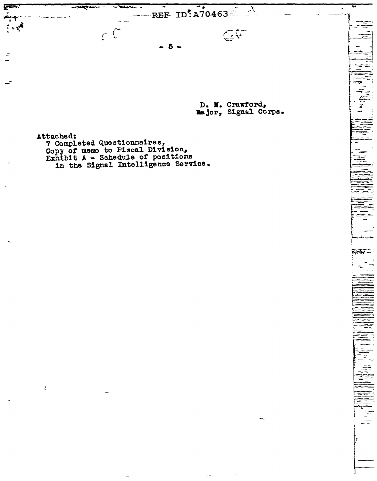